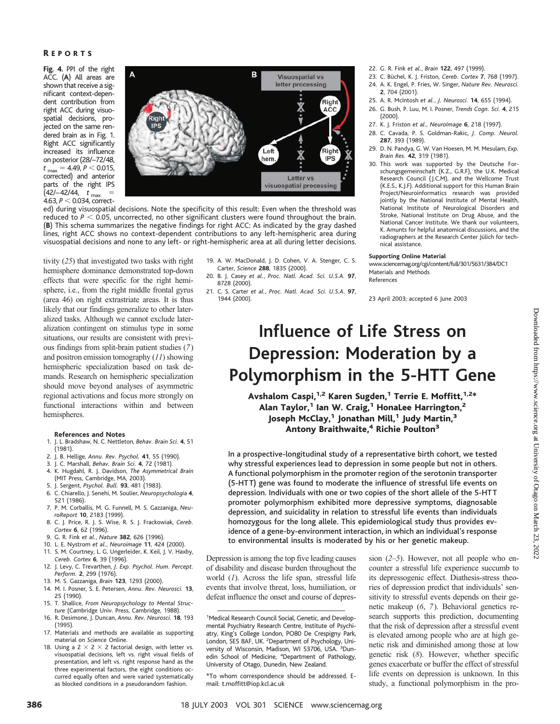## R EPORTS

**Fig. 4.** PPI of the right ACC. (**A**) All areas are shown that receive a significant context-dependent contribution from right ACC during visuospatial decisions, projected on the same rendered brain as in Fig. 1. Right ACC significantly increased its influence on posterior (28/–72/48,  $t_{\text{max}} = 4.49, P < 0.015,$ corrected) and anterior parts of the right IPS  $(42/-42/44, t_{max}$  = 4.63, *P* 0.034, correct-



ed) during visuospatial decisions. Note the specificity of this result: Even when the threshold was reduced to  $P < 0.05$ , uncorrected, no other significant clusters were found throughout the brain. (**B**) This schema summarizes the negative findings for right ACC: As indicated by the gray dashed lines, right ACC shows no context-dependent contributions to any left-hemispheric area during visuospatial decisions and none to any left- or right-hemispheric area at all during letter decisions.

tivity (*25*) that investigated two tasks with right hemisphere dominance demonstrated top-down effects that were specific for the right hemisphere, i.e., from the right middle frontal gyrus (area 46) on right extrastriate areas. It is thus likely that our findings generalize to other lateralized tasks. Although we cannot exclude lateralization contingent on stimulus type in some situations, our results are consistent with previous findings from split-brain patient studies (*7*) and positron emission tomography (*11*) showing hemispheric specialization based on task demands. Research on hemispheric specialization should move beyond analyses of asymmetric regional activations and focus more strongly on functional interactions within and between hemispheres.

### **References and Notes**

- 1. J. L. Bradshaw, N. C. Nettleton, *Behav. Brain Sci.* **4**, 51 (1981).
- 2. J. B. Hellige, *Annu. Rev. Psychol.* **41**, 55 (1990).
- 3. J. C. Marshall, *Behav. Brain Sci.* **4**, 72 (1981). 4. K. Hugdahl, R. J. Davidson, *The Asymmetrical Brain* (MIT Press, Cambridge, MA, 2003).
- 5. J. Sergent, *Psychol. Bull.* **93**, 481 (1983).
- 6. C. Chiarello, J. Senehi, M. Soulier, *Neuropsychologia* **4**,
- 521 (1986). 7. P. M. Corballis, M. G. Funnell, M. S. Gazzaniga, *Neu-*
- *roReport* **10**, 2183 (1999). 8. C. J. Price, R. J. S. Wise, R. S. J. Frackowiak, *Cereb. Cortex* **6**, 62 (1996).
- 9. G. R. Fink *et al.*, *Nature* **382**, 626 (1996).
- 10. L. E. Nystrom *et al.*, *Neuroimage* **11**, 424 (2000).
- 11. S. M. Courtney, L. G. Ungerleider, K. Keil, J. V. Haxby,
- *Cereb. Cortex* **6**, 39 (1996). 12. J. Levy, C. Trevarthen, *J. Exp. Psychol. Hum. Percept.*
- *Perform.* **2**, 299 (1976). 13. M. S. Gazzaniga, *Brain* **123**, 1293 (2000).
- 14. M. I. Posner, S. E. Petersen, *Annu. Rev. Neurosci.* **13**, 25 (1990).
- 15. T. Shallice, *From Neuropsychology to Mental Structure* (Cambridge Univ. Press, Cambridge, 1988).
- 16. R. Desimone, J. Duncan, *Annu. Rev. Neurosci.* **18**, 193 (1995).
- 17. Materials and methods are available as supporting material on *Science* Online.
- 18. Using a 2  $\times$  2  $\times$  2 factorial design, with letter vs. visuospatial decisions, left vs. right visual fields of presentation, and left vs. right response hand as the three experimental factors, the eight conditions occurred equally often and were varied systematically as blocked conditions in a pseudorandom fashion.
- 19. A. W. MacDonald, J. D. Cohen, V. A. Stenger, C. S. Carter, *Science* **288**, 1835 (2000).
- 20. B. J. Casey *et al.*, *Proc. Natl. Acad. Sci. U.S.A.* **97**, 8728 (2000).
- 21. C. S. Carter *et al.*, *Proc. Natl. Acad. Sci. U.S.A.* **97**, 1944 (2000).
- 22. G. R. Fink *et al.*, *Brain* **122**, 497(1999).
- 23. C. Büchel, K. J. Friston, *Cereb. Cortex* 7, 768 (1997).
- 24. A. K. Engel, P. Fries, W. Singer, *Nature Rev. Neurosci.* **2**, 704 (2001).
- 25. A. R. McIntosh *et al.*, *J. Neurosci.* **14**, 655 (1994).
- 26. G. Bush, P. Luu, M. I. Posner, *Trends Cogn. Sci.* **4**, 215 (2000).
- 27. K. J. Friston *et al.*, *NeuroImage* **6**, 218 (1997).
- 28. C. Cavada, P. S. Goldman-Rakic, *J. Comp. Neurol.* **287**, 393 (1989).
- 29. D. N. Pandya, G. W. Van Hoesen, M. M. Mesulam, *Exp. Brain Res.* **42**, 319 (1981).
- 30. This work was supported by the Deutsche Forschungsgemeinschaft (K.Z., G.R.F), the U.K. Medical Research Council (J.C.M), and the Wellcome Trust (K.E.S., K.J.F). Additional support for this Human Brain Project/Neuroinformatics research was provided jointly by the National Institute of Mental Health, National Institute of Neurological Disorders and Stroke, National Institute on Drug Abuse, and the National Cancer Institute. We thank our volunteers, K. Amunts for helpful anatomical discussions, and the radiographers at the Research Center Jülich for technical assistance.

### **Supporting Online Material**

www.sciencemag.org/cgi/content/full/301/5631/384/DC1 Materials and Methods

References

23 April 2003; accepted 6 June 2003

# **Influence of Life Stress on Depression: Moderation by a Polymorphism in the 5-HTT Gene**

Avshalom Caspi,<sup>1,2</sup> Karen Sugden,<sup>1</sup> Terrie E. Moffitt,<sup>1,2\*</sup> Alan Taylor,<sup>1</sup> Ian W. Craig,<sup>1</sup> HonaLee Harrington,<sup>2</sup> Joseph McClay,<sup>1</sup> Jonathan Mill,<sup>1</sup> Judy Martin,<sup>3</sup> Antony Braithwaite,<sup>4</sup> Richie Poulton<sup>3</sup>

In a prospective-longitudinal study of a representative birth cohort, we tested why stressful experiences lead to depression in some people but not in others. A functional polymorphism in the promoter region of the serotonin transporter (5-HTT) gene was found to moderate the influence of stressful life events on depression. Individuals with one or two copies of the short allele of the 5-HT T promoter polymorphism exhibited more depressive symptoms, diagnosable depression, and suicidality in relation to stressful life events than individuals homozygous for the long allele. This epidemiological study thus provides evidence of a gene-by-environment interaction, in which an individual's response to environmental insults is moderated by his or her genetic makeup.

Depression is among the top five leading causes of disability and disease burden throughout the world (*1*). Across the life span, stressful life events that involve threat, loss, humiliation, or defeat influence the onset and course of depres-

sion (*2*–*5*). However, not all people who encounter a stressful life experience succumb to its depressogenic effect. Diathesis-stress theories of depression predict that individuals' sensitivity to stressful events depends on their genetic makeup (*6*, *7*). Behavioral genetics research supports this prediction, documenting that the risk of depression after a stressful event is elevated among people who are at high genetic risk and diminished among those at low genetic risk (*8*). However, whether specific genes exacerbate or buffer the effect of stressful life events on depression is unknown. In this study, a functional polymorphism in the pro-

<sup>&</sup>lt;sup>1</sup>Medical Research Council Social, Genetic, and Developmental Psychiatry Research Centre, Institute of Psychiatry, King's College London, PO80 De Crespigny Park, London, SE5 8AF, UK. <sup>2</sup>Department of Psychology, University of Wisconsin, Madison, WI 53706, USA. <sup>3</sup>Dunedin School of Medicine, <sup>4</sup>Department of Pathology, University of Otago, Dunedin, New Zealand.

<sup>\*</sup>To whom correspondence should be addressed. Email: t.moffitt@iop.kcl.ac.uk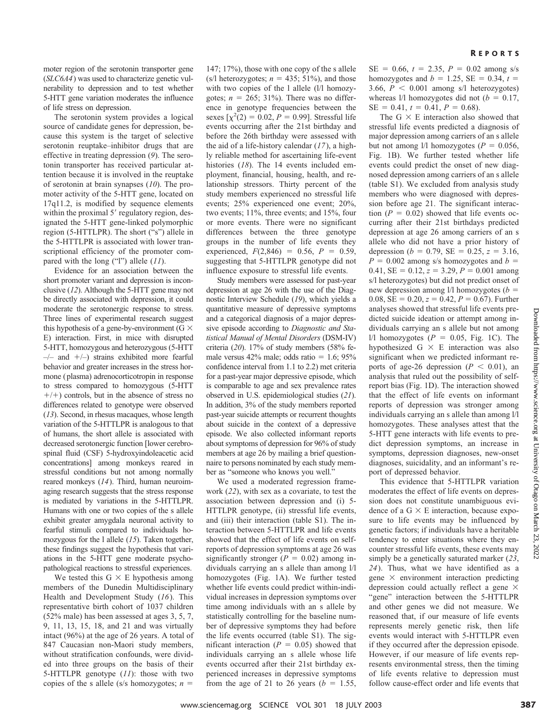moter region of the serotonin transporter gene (*SLC6A4*) was used to characterize genetic vulnerability to depression and to test whether 5-HTT gene variation moderates the influence of life stress on depression.

The serotonin system provides a logical source of candidate genes for depression, because this system is the target of selective serotonin reuptake–inhibitor drugs that are effective in treating depression (*9*). The serotonin transporter has received particular attention because it is involved in the reuptake of serotonin at brain synapses (*10*). The promoter activity of the 5-HTT gene, located on 17q11.2, is modified by sequence elements within the proximal 5' regulatory region, designated the 5-HTT gene-linked polymorphic region (5-HTTLPR). The short ("s") allele in the 5-HTTLPR is associated with lower transcriptional efficiency of the promoter compared with the long ("l") allele (*11*).

Evidence for an association between the short promoter variant and depression is inconclusive (*12*). Although the 5-HTT gene may not be directly associated with depression, it could moderate the serotonergic response to stress. Three lines of experimental research suggest this hypothesis of a gene-by-environment ( $G \times$ E) interaction. First, in mice with disrupted 5-HTT, homozygous and heterozygous (5-HTT  $-/-$  and  $+/-$ ) strains exhibited more fearful behavior and greater increases in the stress hormone (plasma) adrenocorticotropin in response to stress compared to homozygous (5-HTT  $+/-$ ) controls, but in the absence of stress no differences related to genotype were observed (*13*). Second, in rhesus macaques, whose length variation of the 5-HTTLPR is analogous to that of humans, the short allele is associated with decreased serotonergic function [lower cerebrospinal fluid (CSF) 5-hydroxyindoleacetic acid concentrations] among monkeys reared in stressful conditions but not among normally reared monkeys (*14*). Third, human neuroimaging research suggests that the stress response is mediated by variations in the 5-HTTLPR. Humans with one or two copies of the s allele exhibit greater amygdala neuronal activity to fearful stimuli compared to individuals homozygous for the l allele (*15*). Taken together, these findings suggest the hypothesis that variations in the 5-HTT gene moderate psychopathological reactions to stressful experiences.

We tested this  $G \times E$  hypothesis among members of the Dunedin Multidisciplinary Health and Development Study (*16*). This representative birth cohort of 1037 children (52% male) has been assessed at ages 3, 5, 7, 9, 11, 13, 15, 18, and 21 and was virtually intact (96%) at the age of 26 years. A total of 847 Caucasian non-Maori study members, without stratification confounds, were divided into three groups on the basis of their 5-HTTLPR genotype (*11*): those with two copies of the s allele (s/s homozygotes;  $n =$ 

147; 17%), those with one copy of the s allele  $(s/l$  heterozygotes;  $n = 435$ ; 51%), and those with two copies of the 1 allele (1/1 homozygotes;  $n = 265$ ; 31%). There was no difference in genotype frequencies between the sexes  $[\chi^2(2) = 0.02, P = 0.99]$ . Stressful life events occurring after the 21st birthday and before the 26th birthday were assessed with the aid of a life-history calendar (*17*), a highly reliable method for ascertaining life-event histories (*18*). The 14 events included employment, financial, housing, health, and relationship stressors. Thirty percent of the study members experienced no stressful life events; 25% experienced one event; 20%, two events; 11%, three events; and 15%, four or more events. There were no significant differences between the three genotype groups in the number of life events they experienced,  $F(2,846) = 0.56$ ,  $P = 0.59$ , suggesting that 5-HTTLPR genotype did not influence exposure to stressful life events.

Study members were assessed for past-year depression at age 26 with the use of the Diagnostic Interview Schedule (*19*), which yields a quantitative measure of depressive symptoms and a categorical diagnosis of a major depressive episode according to *Diagnostic and Statistical Manual of Mental Disorders* (DSM-IV) criteria (*20*). 17% of study members (58% female versus  $42\%$  male; odds ratio = 1.6;  $95\%$ confidence interval from 1.1 to 2.2) met criteria for a past-year major depressive episode, which is comparable to age and sex prevalence rates observed in U.S. epidemiological studies (*21*). In addition, 3% of the study members reported past-year suicide attempts or recurrent thoughts about suicide in the context of a depressive episode. We also collected informant reports about symptoms of depression for 96% of study members at age 26 by mailing a brief questionnaire to persons nominated by each study member as "someone who knows you well."

We used a moderated regression framework (*22*), with sex as a covariate, to test the association between depression and (i) 5- HTTLPR genotype, (ii) stressful life events, and (iii) their interaction (table S1). The interaction between 5-HTTLPR and life events showed that the effect of life events on selfreports of depression symptoms at age 26 was significantly stronger  $(P = 0.02)$  among individuals carrying an s allele than among l/l homozygotes (Fig. 1A). We further tested whether life events could predict within-individual increases in depression symptoms over time among individuals with an s allele by statistically controlling for the baseline number of depressive symptoms they had before the life events occurred (table S1). The sigmificant interaction  $(P = 0.05)$  showed that individuals carrying an s allele whose life events occurred after their 21st birthday experienced increases in depressive symptoms from the age of 21 to 26 years  $(b = 1.55,$ wg. qualitative the detect of the prices in a stable to the stable in the stable of the passe of the passe of the passe of the passe of the passe of the passe of the passe of the detect of SCI systems and a categoric of S

 $SE = 0.66$ ,  $t = 2.35$ ,  $P = 0.02$  among s/s homozygotes and  $b = 1.25$ , SE = 0.34,  $t =$ 3.66,  $P \le 0.001$  among s/l heterozygotes) whereas  $1/1$  homozygotes did not ( $b = 0.17$ ,  $SE = 0.41, t = 0.41, P = 0.68$ .

The  $G \times E$  interaction also showed that stressful life events predicted a diagnosis of major depression among carriers of an s allele but not among  $1/1$  homozygotes ( $P = 0.056$ , Fig. 1B). We further tested whether life events could predict the onset of new diagnosed depression among carriers of an s allele (table S1). We excluded from analysis study members who were diagnosed with depression before age 21. The significant interaction  $(P = 0.02)$  showed that life events occurring after their 21st birthdays predicted depression at age 26 among carriers of an s allele who did not have a prior history of depression ( $b = 0.79$ , SE = 0.25,  $z = 3.16$ ,  $P = 0.002$  among s/s homozygotes and  $b =$  $0.41$ , SE =  $0.12$ ,  $z = 3.29$ ,  $P = 0.001$  among s/l heterozygotes) but did not predict onset of new depression among  $1/1$  homozygotes ( $b =$ 0.08,  $SE = 0.20$ ,  $z = 0.42$ ,  $P = 0.67$ ). Further analyses showed that stressful life events predicted suicide ideation or attempt among individuals carrying an s allele but not among  $1/1$  homozygotes ( $P = 0.05$ , Fig. 1C). The hypothesized G  $\times$  E interaction was also significant when we predicted informant reports of age-26 depression ( $P < 0.01$ ), an analysis that ruled out the possibility of selfreport bias (Fig. 1D). The interaction showed that the effect of life events on informant reports of depression was stronger among individuals carrying an s allele than among l/l homozygotes. These analyses attest that the 5-HTT gene interacts with life events to predict depression symptoms, an increase in symptoms, depression diagnoses, new-onset diagnoses, suicidality, and an informant's report of depressed behavior.

This evidence that 5-HTTLPR variation moderates the effect of life events on depression does not constitute unambiguous evidence of a  $G \times E$  interaction, because exposure to life events may be influenced by genetic factors; if individuals have a heritable tendency to enter situations where they encounter stressful life events, these events may simply be a genetically saturated marker (*23*, *24*). Thus, what we have identified as a gene  $\times$  environment interaction predicting depression could actually reflect a gene  $\times$ "gene" interaction between the 5-HTTLPR and other genes we did not measure. We reasoned that, if our measure of life events represents merely genetic risk, then life events would interact with 5-HTTLPR even if they occurred after the depression episode. However, if our measure of life events represents environmental stress, then the timing of life events relative to depression must follow cause-effect order and life events that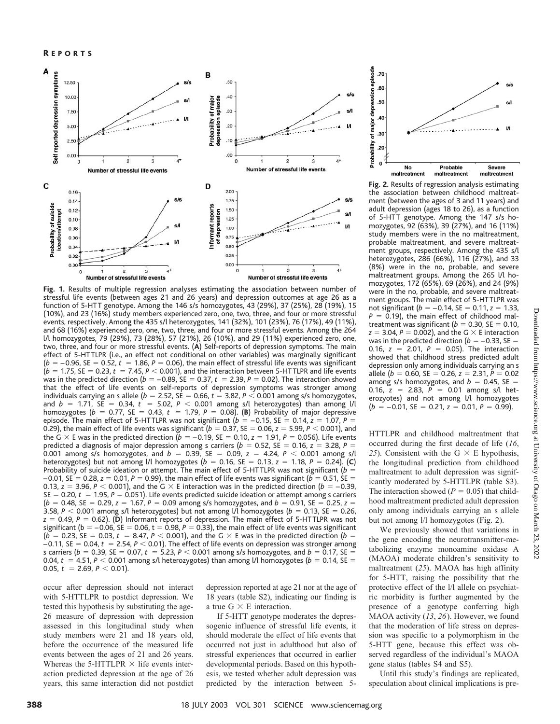

**Fig. 1.** Results of multiple regression analyses estimating the association between number of stressful life events (between ages 21 and 26 years) and depression outcomes at age 26 as a function of 5-HT T genotype. Among the 146 s/s homozygotes, 43 (29%), 37(25%), 28 (19%), 15 (10%), and 23 (16%) study members experienced zero, one, two, three, and four or more stressful events, respectively. Among the 435 s/l heterozygotes, 141 (32%), 101 (23%), 76 (17%), 49 (11%), and 68 (16%) experienced zero, one, two, three, and four or more stressful events. Among the 264 l/l homozygotes, 79 (29%), 73 (28%), 57 (21%), 26 (10%), and 29 (11%) experienced zero, one, two, three, and four or more stressful events. (**A**) Self-reports of depression symptoms. The main effect of 5-HT TLPR (i.e., an effect not conditional on other variables) was marginally significant  $(b = -0.96, \, \text{SE} = 0.52, t = 1.86, P = 0.06$ ), the main effect of stressful life events was significant  $(b = 1.75,$  SE  $= 0.23, t = 7.45, P < 0.001$ ), and the interaction between 5-HTTLPR and life events was in the predicted direction ( $b = -0.89$ , SE  $= 0.37$ ,  $t = 2.39$ ,  $P = 0.02$ ). The interaction showed that the effect of life events on self-reports of depression symptoms was stronger among individuals carrying an s allele ( $b = 2.52$ , SE  $= 0.66$ ,  $t = 3.82$ ,  $P < 0.001$  among s/s homozygotes, and  $b = 1.71$ , SE = 0.34,  $t = 5.02$ ,  $P < 0.001$  among s/l heterozygotes) than among l/l homozygotes ( $b = 0.77$ , SE = 0.43,  $t = 1.79$ ,  $P = 0.08$ ). (B) Probability of major depressive episode. The main effect of 5-HTTLPR was not significant ( $b = -0.15$ , SE = 0.14,  $z = 1.07$ ,  $P =$ 0.29), the main effect of life events was significant ( $b=$  0.37, SE  $=$  0.06,  $z=$  5.99,  $P$   $<$  0.001), and the G  $\times$  E was in the predicted direction ( $b=-0.19$ , SE  $=0.10$ ,  $z=1.91$ ,  $P=0.056$ ). Life events predicted a diagnosis of major depression among s carriers ( $b = 0.52$ , SE = 0.16,  $z = 3.28$ , P = 0.001 among s/s homozygotes, and  $b = 0.39$ , SE = 0.09,  $z = 4.24$ ,  $P < 0.001$  among s/l heterozygotes) but not among l/l homozygotes ( $b = 0.16$ , SE  $= 0.13$ ,  $z = 1.18$ ,  $P = 0.24$ ). (**C**) Probability of suicide ideation or attempt. The main effect of 5-HTTLPR was not significant ( $b =$  $-0.01$ , SE  $=0.28$ ,  $z=0.01$ ,  $P=0.99$ ), the main effect of life events was significant ( $b=0.51$ , SE  $=$ 0.13,  $z =$  3.96,  $P <$  0.001), and the G  $\times$  E interaction was in the predicted direction ( $b =$  –0.39,  $SE = 0.20$ ,  $t = 1.95$ ,  $P = 0.051$ ). Life events predicted suicide ideation or attempt among s carriers  $(b = 0.48, \text{ SE} = 0.29, z = 1.67, P = 0.09$  among s/s homozygotes, and  $b = 0.91, \text{ SE} = 0.25, z = 0.29$ 3.58,  $P <$  0.001 among s/l heterozygotes) but not among l/l homozygotes ( $b =$  0.13, SE  $=$  0.26,  $\,$ *z* = 0.49, *P* = 0.62). (**D**) Informant reports of depression. The main effect of 5-HTTLPR was not significant ( $\mathsf{b} = -0.06$ , SE  $= 0.06$ , t  $= 0.98$ ,  $\mathsf{P} = 0.33$ ), the main effect of life events was significant  $(b = 0.23, \text{ SE} = 0.03, t = 8.47, P < 0.001$ ), and the G  $\times$  E was in the predicted direction ( $b =$  $-0.11$ , SE  $= 0.04$ ,  $t = 2.54$ ,  $P < 0.01$ ). The effect of life events on depression was stronger among s carriers ( $b=$  0.39, SE  $=$  0.07,  $t~=$  5.23,  $P$   $<$  0.001 among s/s homozygotes, and  $b=$  0.17, SE  $=$ 0.04,  $t~=$  4.51,  $P <$  0.001 among s/l heterozygotes) than among l/l homozygotes ( $b~=$  0.14, SE  $=$ 0.05,  $t = 2.69$ ,  $P < 0.01$ ).

occur after depression should not interact with 5-HTTLPR to postdict depression. We tested this hypothesis by substituting the age-26 measure of depression with depression assessed in this longitudinal study when study members were 21 and 18 years old, before the occurrence of the measured life events between the ages of 21 and 26 years. Whereas the 5-HTTLPR  $\times$  life events interaction predicted depression at the age of 26 years, this same interaction did not postdict depression reported at age 21 nor at the age of 18 years (table S2), indicating our finding is a true  $G \times E$  interaction.

If 5-HTT genotype moderates the depressogenic influence of stressful life events, it should moderate the effect of life events that occurred not just in adulthood but also of stressful experiences that occurred in earlier developmental periods. Based on this hypothesis, we tested whether adult depression was predicted by the interaction between 5-



**Fig. 2.** Results of regression analysis estimating the association between childhood maltreatment (between the ages of 3 and 11 years) and adult depression (ages 18 to 26), as a function of 5-HTT genotype. Among the 147 s/s homozygotes, 92 (63%), 39 (27%), and 16 (11%) study members were in the no maltreatment, probable maltreatment, and severe maltreatment groups, respectively. Among the 435 s/l heterozygotes, 286 (66%), 116 (27%), and 33 (8%) were in the no, probable, and severe maltreatment groups. Among the 265 l/l homozygotes, 172 (65%), 69 (26%), and 24 (9%) were in the no, probable, and severe maltreatment groups. The main effect of 5-HT TLPR was not significant (b = –0.14, SE = 0.11, z = 1.33,  $P = 0.19$ ), the main effect of childhood maltreatment was significant ( $b = 0.30$ , SE  $= 0.10$ ,  $z = 3.04$ ,  $P = 0.002$ ), and the G  $\times$  E interaction was in the predicted direction ( $b = -0.33$ , SE  $=$ 0.16,  $z = 2.01$ ,  $P = 0.05$ ). The interaction showed that childhood stress predicted adult depression only among individuals carrying an s allele ( $b = 0.60$ , SE = 0.26,  $z = 2.31$ ,  $P = 0.02$ among s/s homozygotes, and  $b = 0.45$ , SE = 0.16,  $z = 2.83$ ,  $P = 0.01$  among s/l heterozyotes) and not among l/l homozygotes  $(b = -0.01, \text{ SE} = 0.21, z = 0.01, P = 0.99).$ 

HTTLPR and childhood maltreatment that occurred during the first decade of life (*16*, 25). Consistent with the G  $\times$  E hypothesis, the longitudinal prediction from childhood maltreatment to adult depression was significantly moderated by 5-HTTLPR (table S3). The interaction showed ( $P = 0.05$ ) that childhood maltreatment predicted adult depression only among individuals carrying an s allele but not among l/l homozygotes (Fig. 2).

We previously showed that variations in the gene encoding the neurotransmitter-metabolizing enzyme monoamine oxidase A (MAOA) moderate children's sensitivity to maltreatment (*25*). MAOA has high affinity for 5-HTT, raising the possibility that the protective effect of the l/l allele on psychiatric morbidity is further augmented by the presence of a genotype conferring high MAOA activity (*13*, *26*). However, we found that the moderation of life stress on depression was specific to a polymorphism in the 5-HTT gene, because this effect was observed regardless of the individual's MAOA gene status (tables S4 and S5).

Until this study's findings are replicated, speculation about clinical implications is pre-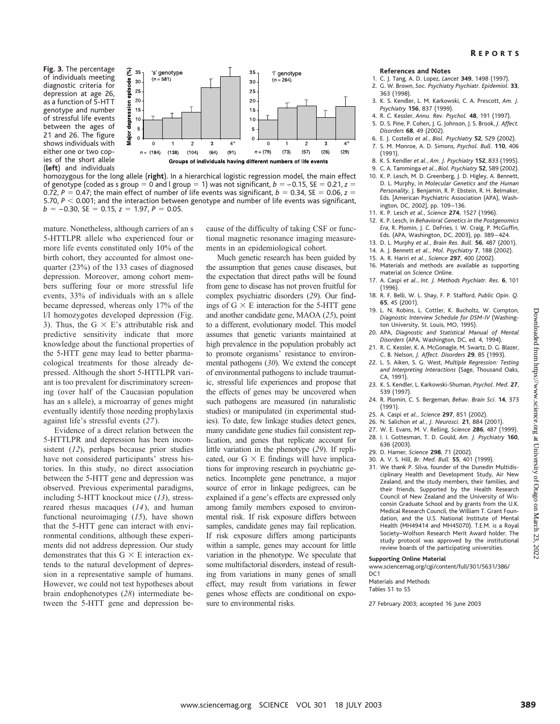## R EPORTS

**Fig. 3.** The percentage of individuals meeting diagnostic criteria for depression at age 26, as a function of 5-HT T genotype and number of stressful life events between the ages of 21 and 26. The figure shows individuals with either one or two copies of the short allele (**left**) and individuals



homozygous for the long allele (**right**). In a hierarchical logistic regression model, the main effect of genotype (coded as s group  $= 0$  and l group  $= 1$ ) was not significant,  $b = -0.15$ , SE  $= 0.21$ ,  $z =$ 0.72,  $P = 0.47$ ; the main effect of number of life events was significant,  $b = 0.34$ , SE = 0.06, z = 5.70,  $P < 0.001$ ; and the interaction between genotype and number of life events was significant,  $b = -0.30$ , SE = 0.15,  $z = 1.97$ ,  $P = 0.05$ .

mature. Nonetheless, although carriers of an s 5-HTTLPR allele who experienced four or more life events constituted only 10% of the birth cohort, they accounted for almost onequarter (23%) of the 133 cases of diagnosed depression. Moreover, among cohort members suffering four or more stressful life events, 33% of individuals with an s allele became depressed, whereas only 17% of the l/l homozygotes developed depression (Fig. 3). Thus, the G  $\times$  E's attributable risk and predictive sensitivity indicate that more knowledge about the functional properties of the 5-HTT gene may lead to better pharmacological treatments for those already depressed. Although the short 5-HTTLPR variant is too prevalent for discriminatory screening (over half of the Caucasian population has an s allele), a microarray of genes might eventually identify those needing prophylaxis against life's stressful events (*27*).

Evidence of a direct relation between the 5-HTTLPR and depression has been inconsistent (*12*), perhaps because prior studies have not considered participants' stress histories. In this study, no direct association between the 5-HTT gene and depression was observed. Previous experimental paradigms, including 5-HTT knockout mice (*13*), stressreared rhesus macaques (*14*), and human functional neuroimaging (*15*), have shown that the 5-HTT gene can interact with environmental conditions, although these experiments did not address depression. Our study demonstrates that this  $G \times E$  interaction extends to the natural development of depression in a representative sample of humans. However, we could not test hypotheses about brain endophenotypes (*28*) intermediate between the 5-HTT gene and depression because of the difficulty of taking CSF or functional magnetic resonance imaging measurements in an epidemiological cohort.

Much genetic research has been guided by the assumption that genes cause diseases, but the expectation that direct paths will be found from gene to disease has not proven fruitful for complex psychiatric disorders (*29*). Our findings of  $G \times E$  interaction for the 5-HTT gene and another candidate gene, MAOA (*25*), point to a different, evolutionary model. This model assumes that genetic variants maintained at high prevalence in the population probably act to promote organisms' resistance to environmental pathogens (*30*). We extend the concept of environmental pathogens to include traumatic, stressful life experiences and propose that the effects of genes may be uncovered when such pathogens are measured (in naturalistic studies) or manipulated (in experimental studies). To date, few linkage studies detect genes, many candidate gene studies fail consistent replication, and genes that replicate account for little variation in the phenotype (*29*). If replicated, our  $G \times E$  findings will have implications for improving research in psychiatric genetics. Incomplete gene penetrance, a major source of error in linkage pedigrees, can be explained if a gene's effects are expressed only among family members exposed to environmental risk. If risk exposure differs between samples, candidate genes may fail replication. If risk exposure differs among participants within a sample, genes may account for little variation in the phenotype. We speculate that some multifactorial disorders, instead of resulting from variations in many genes of small effect, may result from variations in fewer genes whose effects are conditional on exposure to environmental risks. Fig. and models unter university and the model of Absorbate Contents, We compute the contents of Absorbate Acceleration of the state of Otago on Absorbate Acceleration and the properties of Otago of Otago of Otago on Marc

## **References and Notes**

- 1. C. J. Tang, A. D. Lopez, *Lancet* **349**, 1498 (1997).
- 2. G. W. Brown, *Soc. Psychiatry Psychiatr. Epidemiol.* **33**, 363 (1998).
- 3. K. S. Kendler, L. M. Karkowski, C. A. Prescott, *Am. J. Psychiatry* **156**, 837(1999).
- 4. R. C. Kessler, *Annu. Rev. Psychol.* **48**, 191 (1997).
- 5. D. S. Pine, P. Cohen, J. G. Johnson, J. S. Brook, *J. Affect. Disorders* **68**, 49 (2002).
- 6. E. J. Costello *et al.*, *Biol. Psychiatry* **52**, 529 (2002). 7. S. M. Monroe, A. D. Simons, *Psychol. Bull.* **110**, 406
- (1991).
- 8. K. S. Kendler *et al.*, *Am. J. Psychiatry* **152**, 833 (1995).
- 9. C. A. Tamminga *et al.*, *Biol. Psychiatry* **52**, 589 (2002).
- 10. K. P. Lesch, M. D. Greenberg, J. D. Higley, A. Bennett, D. L. Murphy, in *Molecular Genetics and the Human Personality*, J. Benjamin, R. P. Ebstein, R. H. Belmaker, Eds. [American Psychiatric Association (APA), Washington, DC, 2002], pp. 109 –136.
- 11. K. P. Lesch *et al.*, *Science* **274**, 1527(1996).
- 12. K. P. Lesch, in *Behavioral Genetics in the Postgenomics Era*, R. Plomin, J. C. DeFries, I. W. Craig, P. McGuffin, Eds. (APA, Washington, DC, 2003), pp. 389 – 424.
- 13. D. L. Murphy *et al.*, *Brain Res. Bull.* **56**, 487(2001).
- 14. A. J. Bennett *et al.*, *Mol. Psychiatry* **7**, 188 (2002).
- 15. A. R. Hariri *et al.*, *Science* **297**, 400 (2002).
- 16. Materials and methods are available as supporting material on *Science* Online.
- 17. A. Caspi *et al.*, *Int. J. Methods Psychiatr. Res.* **6**, 101 (1996).
- 18. R. F. Belli, W. L. Shay, F. P. Stafford, *Public Opin. Q.* **65**, 45 (2001).
- 19. L. N. Robins, L. Cottler, K. Bucholtz, W. Compton, *Diagnostic Interview Schedule for DSM-IV* (Washington University, St. Louis, MO, 1995).
- 20. APA, *Diagnostic and Statistical Manual of Mental Disorders* (APA, Washington, DC, ed. 4, 1994).
- 21. R. C. Kessler, K. A. McGonagle, M. Swartz, D. G. Blazer, C. B. Nelson, *J. Affect. Disorders* **29**, 85 (1993).
- 22. L. S. Aiken, S. G. West, *Multiple Regression: Testing and Interpreting Interactions* (Sage, Thousand Oaks, CA, 1991).
- 23. K. S. Kendler, L. Karkowski-Shuman, *Psychol. Med.* **27**, 539 (1997).
- 24. R. Plomin, C. S. Bergeman, *Behav. Brain Sci.* **14**, 37 3 (1991).
- 25. A. Caspi *et al.*, *Science* **297**, 851 (2002).
- 26. N. Salichon *et al.*, *J. Neurosci.* **21**, 884 (2001).
- 27. W. E. Evans, M. V. Relling, *Science* **286**, 487(1999). 28. I. I. Gottesman, T. D. Gould, *Am. J. Psychiatry* **160**,
- 636 (2003).
- 29. D. Hamer, *Science* **298**, 71 (2002).
- 30. A. V. S. Hill, *Br. Med. Bull.* **55**, 401 (1999).
- 31. We thank P. Silva, founder of the Dunedin Multidisciplinary Health and Development Study, Air New Zealand, and the study members, their families, and their friends. Supported by the Health Research Council of New Zealand and the University of Wisconsin Graduate School and by grants from the U.K. Medical Research Council, the William T. Grant Foundation, and the U.S. National Institute of Mental Health (MH49414 and MH45070). T.E.M. is a Royal Society–Wolfson Research Merit Award holder. The study protocol was approved by the institutional review boards of the participating universities.

### **Supporting Online Material**

www.sciencemag.org/cgi/content/full/301/5631/386/  $DC1$ 

Materials and Methods Tables S1 to S5

27February 2003; accepted 16 June 2003